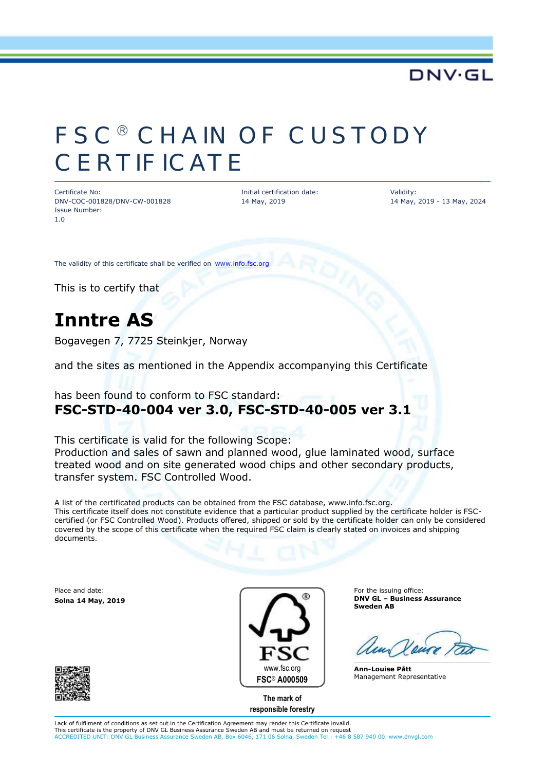### **DNV·GL**

# FSC<sup>®</sup> CHAIN OF CUSTODY **CERTIFICATE**

Certificate No: DNV-COC-001828/DNV-CW-001828 Issue Number: 1.0

Initial certification date: 14 May, 2019

Validity: 14 May, 2019 - 13 May, 2024

The validity of this certificate shall be verified on [www.info.fsc.org](http://www.info.fsc.org/)

This is to certify that

## **Inntre AS**

Bogavegen 7, 7725 Steinkjer, Norway

and the sites as mentioned in the Appendix accompanying this Certificate

### has been found to conform to FSC standard: **FSC-STD-40-004 ver 3.0, FSC-STD-40-005 ver 3.1**

This certificate is valid for the following Scope: Production and sales of sawn and planned wood, glue laminated wood, surface treated wood and on site generated wood chips and other secondary products, transfer system. FSC Controlled Wood.

A list of the certificated products can be obtained from the FSC database, www.info.fsc.org. This certificate itself does not constitute evidence that a particular product supplied by the certificate holder is FSCcertified (or FSC Controlled Wood). Products offered, shipped or sold by the certificate holder can only be considered covered by the scope of this certificate when the required FSC claim is clearly stated on invoices and shipping documents.

Place and date: **Solna 14 May, 2019**





**responsible forestry**

For the issuing office: **DNV GL – Business Assurance Sweden AB**

**Ann-Louise Pått** Management Representative

Lack of fulfilment of conditions as set out in the Certification Agreement may render this Certificate invalid. This certificate is the property of DNV GL Business Assurance Sweden AB and must be returned on request ACCREDITED UNIT: DNV GL Business Assurance Sweden AB, Box 6046, 171 06 Solna, Sweden Tel.: +46 8 587 940 00. www.dnvgl.com